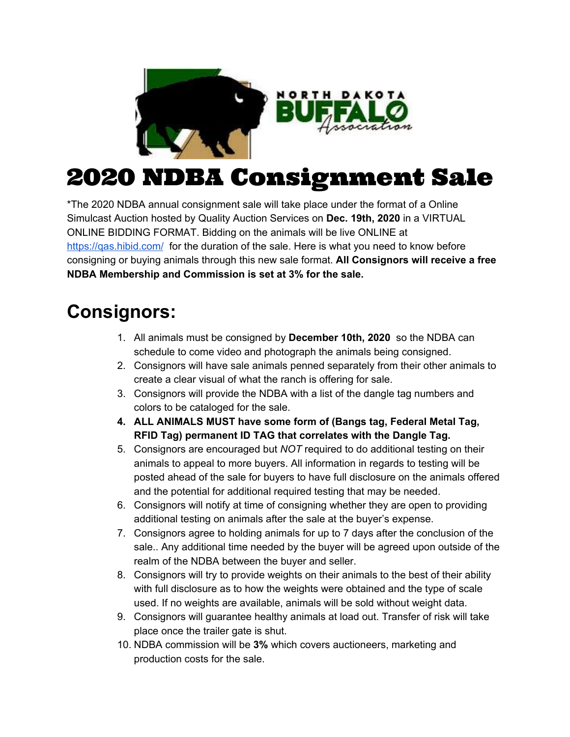

## 2020 NDBA Consignment Sale

\*The 2020 NDBA annual consignment sale will take place under the format of a Online Simulcast Auction hosted by Quality Auction Services on **Dec. 19th, 2020** in a VIRTUAL ONLINE BIDDING FORMAT. Bidding on the animals will be live ONLINE at <https://qas.hibid.com/> for the duration of the sale. Here is what you need to know before consigning or buying animals through this new sale format. **All Consignors will receive a free NDBA Membership and Commission is set at 3% for the sale.**

## **Consignors:**

- 1. All animals must be consigned by **December 10th, 2020** so the NDBA can schedule to come video and photograph the animals being consigned.
- 2. Consignors will have sale animals penned separately from their other animals to create a clear visual of what the ranch is offering for sale.
- 3. Consignors will provide the NDBA with a list of the dangle tag numbers and colors to be cataloged for the sale.
- **4. ALL ANIMALS MUST have some form of (Bangs tag, Federal Metal Tag, RFID Tag) permanent ID TAG that correlates with the Dangle Tag.**
- 5. Consignors are encouraged but *NOT* required to do additional testing on their animals to appeal to more buyers. All information in regards to testing will be posted ahead of the sale for buyers to have full disclosure on the animals offered and the potential for additional required testing that may be needed.
- 6. Consignors will notify at time of consigning whether they are open to providing additional testing on animals after the sale at the buyer's expense.
- 7. Consignors agree to holding animals for up to 7 days after the conclusion of the sale.. Any additional time needed by the buyer will be agreed upon outside of the realm of the NDBA between the buyer and seller.
- 8. Consignors will try to provide weights on their animals to the best of their ability with full disclosure as to how the weights were obtained and the type of scale used. If no weights are available, animals will be sold without weight data.
- 9. Consignors will guarantee healthy animals at load out. Transfer of risk will take place once the trailer gate is shut.
- 10. NDBA commission will be **3%** which covers auctioneers, marketing and production costs for the sale.